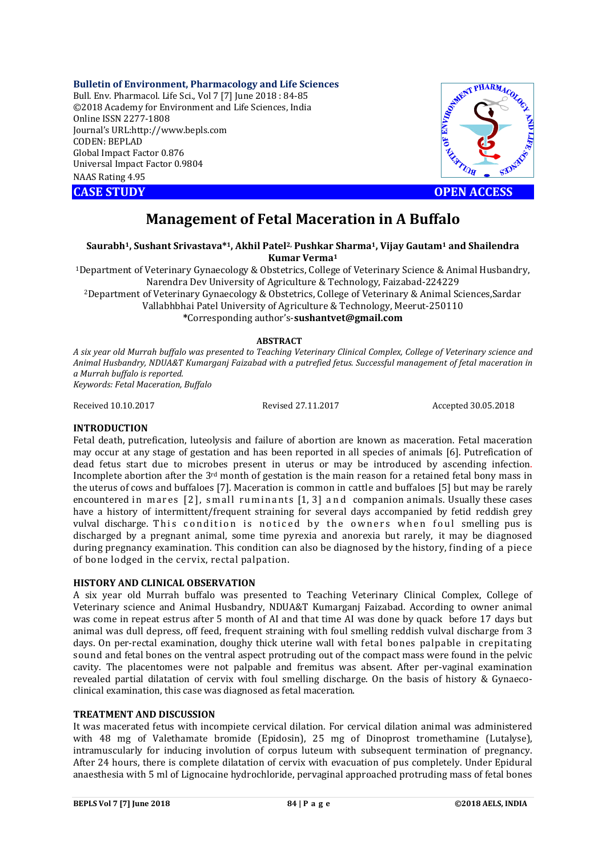## **Bulletin of Environment, Pharmacology and Life Sciences**

Bull. Env. Pharmacol. Life Sci., Vol 7 [7] June 2018 : 84-85 ©2018 Academy for Environment and Life Sciences, India Online ISSN 2277-1808 Journal's URL:http://www.bepls.com CODEN: BEPLAD Global Impact Factor 0.876 Universal Impact Factor 0.9804 NAAS Rating 4.95 CASE STUDY<br>
CASE STUDY<br>
CONGRESS UNIVERSITY AND CONSULTANTS URL:<br>
CONGRESS UNIVERSITY AND CONSULTANTS UNIVERSITY OPEN ACCESS



# **Management of Fetal Maceration in A Buffalo**

**Saurabh1, Sushant Srivastava\*1, Akhil Patel2, Pushkar Sharma1, Vijay Gautam1 and Shailendra Kumar Verma1**

1Department of Veterinary Gynaecology & Obstetrics, College of Veterinary Science & Animal Husbandry, Narendra Dev University of Agriculture & Technology, Faizabad-224229

2Department of Veterinary Gynaecology & Obstetrics, College of Veterinary & Animal Sciences,Sardar Vallabhbhai Patel University of Agriculture & Technology, Meerut-250110

**\***Corresponding author's-**sushantvet@gmail.com**

## **ABSTRACT**

*A six year old Murrah buffalo was presented to Teaching Veterinary Clinical Complex, College of Veterinary science and Animal Husbandry, NDUA&T Kumarganj Faizabad with a putrefied fetus. Successful management of fetal maceration in a Murrah buffalo is reported. Keywords: Fetal Maceration, Buffalo*

Received 10.10.2017 Revised 27.11.2017 Accepted 30.05.2018

## **INTRODUCTION**

Fetal death, putrefication, luteolysis and failure of abortion are known as maceration. Fetal maceration may occur at any stage of gestation and has been reported in all species of animals [6]. Putrefication of dead fetus start due to microbes present in uterus or may be introduced by ascending infection. Incomplete abortion after the  $3<sup>rd</sup>$  month of gestation is the main reason for a retained fetal bony mass in the uterus of cows and buffaloes [7]. Maceration is common in cattle and buffaloes [5] but may be rarely encountered in mares [2], small ruminants [1, 3] and companion animals. Usually these cases have a history of intermittent/frequent straining for several days accompanied by fetid reddish grey vulval discharge. This condition is noticed by the owners when foul smelling pus is discharged by a pregnant animal, some time pyrexia and anorexia but rarely, it may be diagnosed during pregnancy examination. This condition can also be diagnosed by the history, finding of a piece of bone lodged in the cervix, rectal palpation.

## **HISTORY AND CLINICAL OBSERVATION**

A six year old Murrah buffalo was presented to Teaching Veterinary Clinical Complex, College of Veterinary science and Animal Husbandry, NDUA&T Kumarganj Faizabad. According to owner animal was come in repeat estrus after 5 month of AI and that time AI was done by quack before 17 days but animal was dull depress, off feed, frequent straining with foul smelling reddish vulval discharge from 3 days. On per-rectal examination, doughy thick uterine wall with fetal bones palpable in crepitating sound and fetal bones on the ventral aspect protruding out of the compact mass were found in the pelvic cavity. The placentomes were not palpable and fremitus was absent. After per-vaginal examination revealed partial dilatation of cervix with foul smelling discharge. On the basis of history & Gynaecoclinical examination, this case was diagnosed as fetal maceration.

## **TREATMENT AND DISCUSSION**

It was macerated fetus with incompiete cervical dilation. For cervical dilation animal was administered with 48 mg of Valethamate bromide (Epidosin), 25 mg of Dinoprost tromethamine (Lutalyse), intramuscularly for inducing involution of corpus luteum with subsequent termination of pregnancy. After 24 hours, there is complete dilatation of cervix with evacuation of pus completely. Under Epidural anaesthesia with 5 ml of Lignocaine hydrochloride, pervaginal approached protruding mass of fetal bones